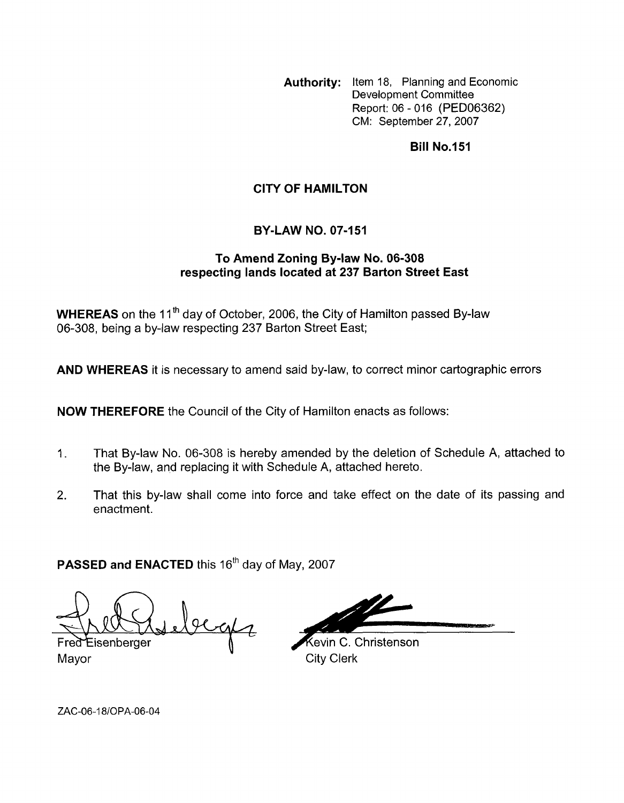**Authority:** Item 18, Planning and Economic Development Committee Report: 06 - 016 (PED06362) CM: September 27,2007

## **Bill No.151**

## **CITY OF HAMILTON**

## **BY-LAW NO. 07-151**

## **To Amend Zoning By-law No. 06-308 respecting lands located at 237 Barton Street East**

**WHEREAS** on the 11<sup>th</sup> day of October, 2006, the City of Hamilton passed By-law 06-308, being a by-law respecting 237 Barton Street East;

**AND WHEREAS** it is necessary to amend said by-law, to correct minor cartographic errors

**NOW THEREFORE** the Council of the City of Hamilton enacts as follows:

- 1. That By-law No. 06-308 is hereby amended by the deletion of Schedule A, attached to the By-law, and replacing it with Schedule A, attached hereto.
- 2. That this by-law shall come into force and take effect on the date of its passing and enactment.

**PASSED and ENACTED** this 16<sup>th</sup> day of May, 2007

 $y_{eq4}$ 

Fred Eisenberger Mayor City Clerk

**Kevin C. Christenson** 

ZAC-06-18/OPA-06-04